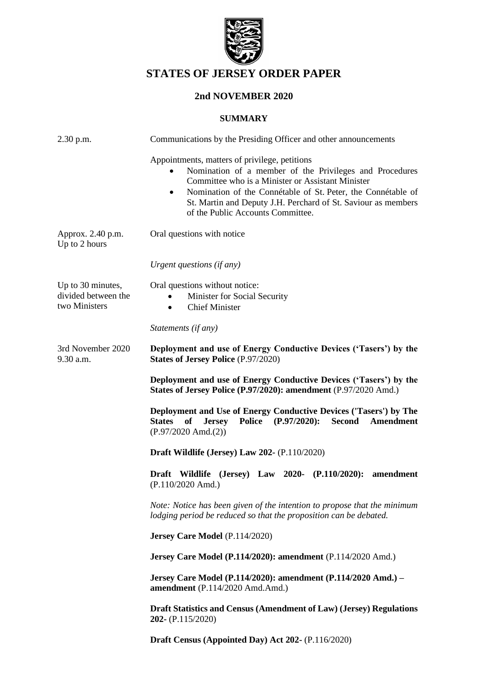

# **STATES OF JERSEY ORDER PAPER**

## **2nd NOVEMBER 2020**

#### **SUMMARY**

| 2.30 p.m.                                                 | Communications by the Presiding Officer and other announcements                                                                                                                                                                                                                                                                                  |
|-----------------------------------------------------------|--------------------------------------------------------------------------------------------------------------------------------------------------------------------------------------------------------------------------------------------------------------------------------------------------------------------------------------------------|
|                                                           | Appointments, matters of privilege, petitions<br>Nomination of a member of the Privileges and Procedures<br>Committee who is a Minister or Assistant Minister<br>Nomination of the Connétable of St. Peter, the Connétable of<br>$\bullet$<br>St. Martin and Deputy J.H. Perchard of St. Saviour as members<br>of the Public Accounts Committee. |
| Approx. 2.40 p.m.<br>Up to 2 hours                        | Oral questions with notice                                                                                                                                                                                                                                                                                                                       |
|                                                           | Urgent questions (if any)                                                                                                                                                                                                                                                                                                                        |
| Up to 30 minutes,<br>divided between the<br>two Ministers | Oral questions without notice:<br>Minister for Social Security<br><b>Chief Minister</b><br>$\bullet$<br>Statements (if any)                                                                                                                                                                                                                      |
| 3rd November 2020<br>$9.30$ a.m.                          | Deployment and use of Energy Conductive Devices ('Tasers') by the<br><b>States of Jersey Police (P.97/2020)</b>                                                                                                                                                                                                                                  |
|                                                           | Deployment and use of Energy Conductive Devices ('Tasers') by the<br>States of Jersey Police (P.97/2020): amendment (P.97/2020 Amd.)                                                                                                                                                                                                             |
|                                                           | Deployment and Use of Energy Conductive Devices ('Tasers') by The<br><b>States</b><br><b>Police</b><br>$(P.97/2020)$ :<br>Second<br>of<br>Amendment<br><b>Jersey</b><br>$(P.97/2020$ Amd. $(2))$                                                                                                                                                 |
|                                                           | <b>Draft Wildlife (Jersey) Law 202- (P.110/2020)</b>                                                                                                                                                                                                                                                                                             |
|                                                           | Draft Wildlife (Jersey) Law 2020- (P.110/2020):<br>amendment<br>$(P.110/2020$ Amd.)                                                                                                                                                                                                                                                              |
|                                                           | Note: Notice has been given of the intention to propose that the minimum<br>lodging period be reduced so that the proposition can be debated.                                                                                                                                                                                                    |
|                                                           | Jersey Care Model (P.114/2020)                                                                                                                                                                                                                                                                                                                   |
|                                                           | Jersey Care Model (P.114/2020): amendment (P.114/2020 Amd.)                                                                                                                                                                                                                                                                                      |
|                                                           | Jersey Care Model (P.114/2020): amendment (P.114/2020 Amd.) -<br>amendment (P.114/2020 Amd.Amd.)                                                                                                                                                                                                                                                 |
|                                                           | Draft Statistics and Census (Amendment of Law) (Jersey) Regulations<br><b>202-</b> (P.115/2020)                                                                                                                                                                                                                                                  |
|                                                           | Draft Census (Appointed Day) Act 202- (P.116/2020)                                                                                                                                                                                                                                                                                               |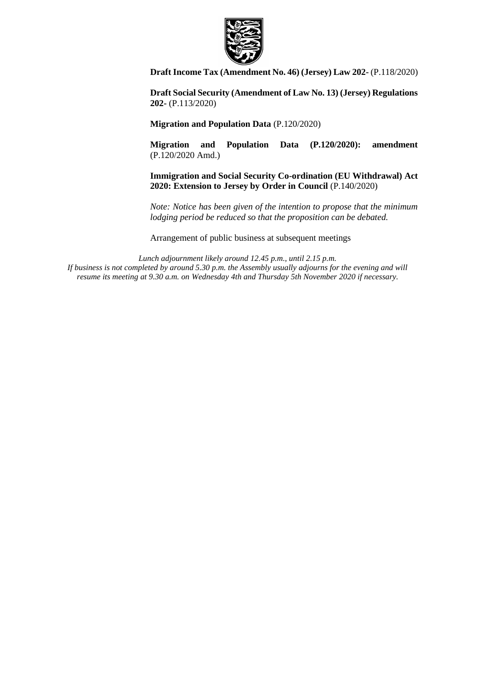

**[Draft Income Tax \(Amendment No. 46\) \(Jersey\) Law 202-](https://statesassembly.gov.je/AssemblyPropositions/2020/P.118-2020.pdf)** (P.118/2020)

**[Draft Social Security \(Amendment of Law No. 13\) \(Jersey\) Regulations](https://statesassembly.gov.je/AssemblyPropositions/2020/P.113-2020.pdf)  202-** [\(P.113/2020\)](https://statesassembly.gov.je/AssemblyPropositions/2020/P.113-2020.pdf) 

**[Migration and Population Data](https://statesassembly.gov.je/AssemblyPropositions/2020/P.120-2020.pdf)** (P.120/2020)

**Migration and Population Data (P.120/2020): amendment** (P.120/2020 Amd.)

**Immigration and Social Security Co-ordination (EU Withdrawal) Act 2020: Extension to Jersey by Order in Council** (P.140/2020)

*Note: Notice has been given of the intention to propose that the minimum lodging period be reduced so that the proposition can be debated.*

Arrangement of public business at subsequent meetings

*Lunch adjournment likely around 12.45 p.m., until 2.15 p.m. If business is not completed by around 5.30 p.m. the Assembly usually adjourns for the evening and will resume its meeting at 9.30 a.m. on Wednesday 4th and Thursday 5th November 2020 if necessary.*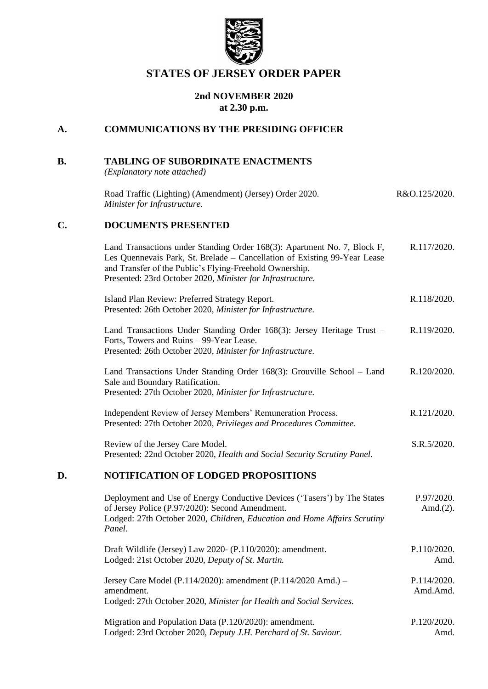

## **STATES OF JERSEY ORDER PAPER**

### **2nd NOVEMBER 2020 at 2.30 p.m.**

### **A. COMMUNICATIONS BY THE PRESIDING OFFICER**

## **B. TABLING OF SUBORDINATE ENACTMENTS**

*(Explanatory note attached)*

| Road Traffic (Lighting) (Amendment) (Jersey) Order 2020. | R&O.125/2020. |
|----------------------------------------------------------|---------------|
| Minister for Infrastructure.                             |               |

### **C. DOCUMENTS PRESENTED**

| Land Transactions under Standing Order 168(3): Apartment No. 7, Block F,<br>Les Quennevais Park, St. Brelade – Cancellation of Existing 99-Year Lease<br>and Transfer of the Public's Flying-Freehold Ownership.<br>Presented: 23rd October 2020, Minister for Infrastructure. | R.117/2020. |
|--------------------------------------------------------------------------------------------------------------------------------------------------------------------------------------------------------------------------------------------------------------------------------|-------------|
| Island Plan Review: Preferred Strategy Report.<br>Presented: 26th October 2020, Minister for Infrastructure.                                                                                                                                                                   | R.118/2020. |
| Land Transactions Under Standing Order 168(3): Jersey Heritage Trust –<br>Forts, Towers and Ruins – 99-Year Lease.<br>Presented: 26th October 2020, Minister for Infrastructure.                                                                                               | R.119/2020. |
| Land Transactions Under Standing Order 168(3): Grouville School – Land<br>Sale and Boundary Ratification.<br>Presented: 27th October 2020, Minister for Infrastructure.                                                                                                        | R.120/2020. |
| Independent Review of Jersey Members' Remuneration Process.<br>Presented: 27th October 2020, Privileges and Procedures Committee.                                                                                                                                              | R.121/2020. |
| Review of the Jersey Care Model.<br>Presented: 22nd October 2020, Health and Social Security Scrutiny Panel.                                                                                                                                                                   | S.R.5/2020. |
| MOTIEICA TION OE I ODCED DDODOSITIONS                                                                                                                                                                                                                                          |             |

#### **D. NOTIFICATION OF LODGED PROPOSITIONS**

| Deployment and Use of Energy Conductive Devices ('Tasers') by The States<br>of Jersey Police (P.97/2020): Second Amendment.<br>Lodged: 27th October 2020, Children, Education and Home Affairs Scrutiny<br>Panel. | P.97/2020.<br>Amd. $(2)$ . |
|-------------------------------------------------------------------------------------------------------------------------------------------------------------------------------------------------------------------|----------------------------|
| Draft Wildlife (Jersey) Law 2020- (P.110/2020): amendment.                                                                                                                                                        | P.110/2020.                |
| Lodged: 21st October 2020, Deputy of St. Martin.                                                                                                                                                                  | Amd.                       |
| Jersey Care Model (P.114/2020): amendment (P.114/2020 Amd.) –<br>amendment.<br>Lodged: 27th October 2020, Minister for Health and Social Services.                                                                | P.114/2020.<br>Amd.Amd.    |
| Migration and Population Data (P.120/2020): amendment.                                                                                                                                                            | P.120/2020.                |
| Lodged: 23rd October 2020, Deputy J.H. Perchard of St. Saviour.                                                                                                                                                   | Amd.                       |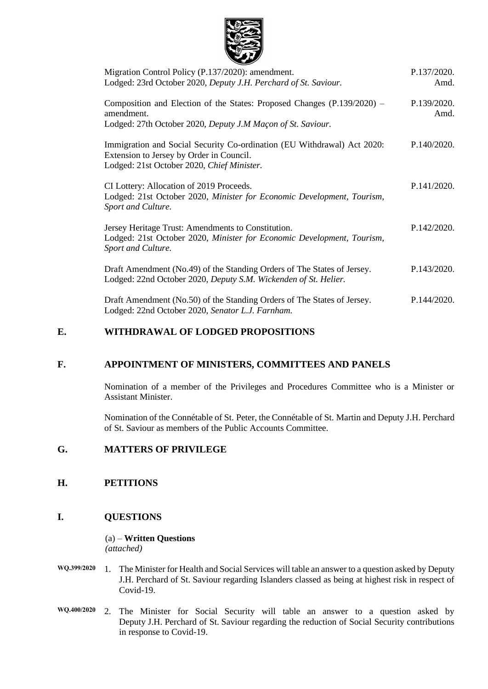

| Migration Control Policy (P.137/2020): amendment.<br>Lodged: 23rd October 2020, Deputy J.H. Perchard of St. Saviour.                                              | P.137/2020.<br>Amd. |
|-------------------------------------------------------------------------------------------------------------------------------------------------------------------|---------------------|
| Composition and Election of the States: Proposed Changes (P.139/2020) –<br>amendment.<br>Lodged: 27th October 2020, Deputy J.M Maçon of St. Saviour.              | P.139/2020.<br>Amd. |
| Immigration and Social Security Co-ordination (EU Withdrawal) Act 2020:<br>Extension to Jersey by Order in Council.<br>Lodged: 21st October 2020, Chief Minister. | P.140/2020.         |
| CI Lottery: Allocation of 2019 Proceeds.<br>Lodged: 21st October 2020, Minister for Economic Development, Tourism,<br>Sport and Culture.                          | P.141/2020.         |
| Jersey Heritage Trust: Amendments to Constitution.<br>Lodged: 21st October 2020, Minister for Economic Development, Tourism,<br>Sport and Culture.                | P.142/2020.         |
| Draft Amendment (No.49) of the Standing Orders of The States of Jersey.<br>Lodged: 22nd October 2020, Deputy S.M. Wickenden of St. Helier.                        | P.143/2020.         |
| Draft Amendment (No.50) of the Standing Orders of The States of Jersey.<br>Lodged: 22nd October 2020, Senator L.J. Farnham.                                       | P.144/2020.         |

#### **E. WITHDRAWAL OF LODGED PROPOSITIONS**

#### **F. APPOINTMENT OF MINISTERS, COMMITTEES AND PANELS**

Nomination of a member of the Privileges and Procedures Committee who is a Minister or Assistant Minister.

Nomination of the Connétable of St. Peter, the Connétable of St. Martin and Deputy J.H. Perchard of St. Saviour as members of the Public Accounts Committee.

### **G. MATTERS OF PRIVILEGE**

#### **H. PETITIONS**

#### **I. QUESTIONS**

#### (a) – **Written Questions** *(attached)*

- **WQ.399/2020** 1. The Minister for Health and Social Services will table an answer to a question asked by Deputy J.H. Perchard of St. Saviour regarding Islanders classed as being at highest risk in respect of Covid-19.
- **WQ.400/2020** 2. The Minister for Social Security will table an answer to a question asked by Deputy J.H. Perchard of St. Saviour regarding the reduction of Social Security contributions in response to Covid-19.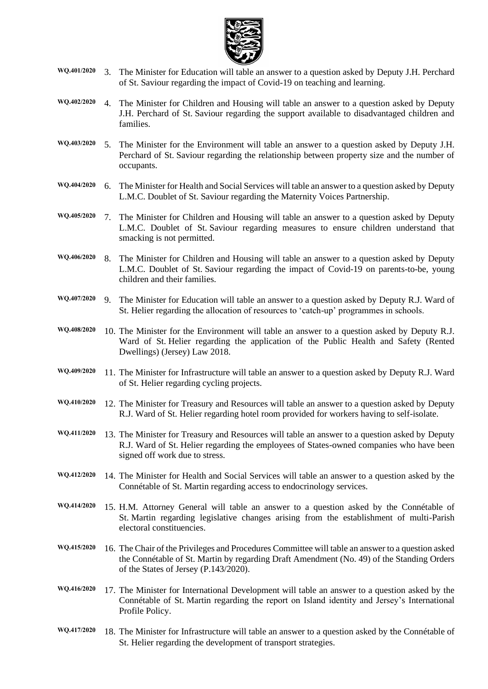

- **WQ.401/2020** 3. The Minister for Education will table an answer to a question asked by Deputy J.H. Perchard of St. Saviour regarding the impact of Covid-19 on teaching and learning.
- **WQ.402/2020** 4. The Minister for Children and Housing will table an answer to a question asked by Deputy J.H. Perchard of St. Saviour regarding the support available to disadvantaged children and families.
- **WQ.403/2020** 5. The Minister for the Environment will table an answer to a question asked by Deputy J.H. Perchard of St. Saviour regarding the relationship between property size and the number of occupants.
- **WQ.404/2020** 6. The Minister for Health and Social Services will table an answer to a question asked by Deputy L.M.C. Doublet of St. Saviour regarding the Maternity Voices Partnership.
- **WQ.405/2020** 7. The Minister for Children and Housing will table an answer to a question asked by Deputy L.M.C. Doublet of St. Saviour regarding measures to ensure children understand that smacking is not permitted.
- **WQ.406/2020** 8. The Minister for Children and Housing will table an answer to a question asked by Deputy L.M.C. Doublet of St. Saviour regarding the impact of Covid-19 on parents-to-be, young children and their families.
- **WQ.407/2020** 9. The Minister for Education will table an answer to a question asked by Deputy R.J. Ward of St. Helier regarding the allocation of resources to 'catch-up' programmes in schools.
- **WQ.408/2020** 10. The Minister for the Environment will table an answer to a question asked by Deputy R.J. Ward of St. Helier regarding the application of the Public Health and Safety (Rented Dwellings) (Jersey) Law 2018.
- **WQ.409/2020** 11. The Minister for Infrastructure will table an answer to a question asked by Deputy R.J. Ward of St. Helier regarding cycling projects.
- **WQ.410/2020** 12. The Minister for Treasury and Resources will table an answer to a question asked by Deputy R.J. Ward of St. Helier regarding hotel room provided for workers having to self-isolate.
- **WQ.411/2020** 13. The Minister for Treasury and Resources will table an answer to a question asked by Deputy R.J. Ward of St. Helier regarding the employees of States-owned companies who have been signed off work due to stress.
- **WQ.412/2020** 14. The Minister for Health and Social Services will table an answer to a question asked by the Connétable of St. Martin regarding access to endocrinology services.
- **WQ.414/2020** 15. H.M. Attorney General will table an answer to a question asked by the Connétable of St. Martin regarding legislative changes arising from the establishment of multi-Parish electoral constituencies.
- **WQ.415/2020** 16. The Chair of the Privileges and Procedures Committee will table an answer to a question asked the Connétable of St. Martin by regarding Draft Amendment (No. 49) of the Standing Orders of the States of Jersey (P.143/2020).
- **WQ.416/2020** 17. The Minister for International Development will table an answer to a question asked by the Connétable of St. Martin regarding the report on Island identity and Jersey's International Profile Policy.
- **WQ.417/2020** 18. The Minister for Infrastructure will table an answer to a question asked by the Connétable of St. Helier regarding the development of transport strategies.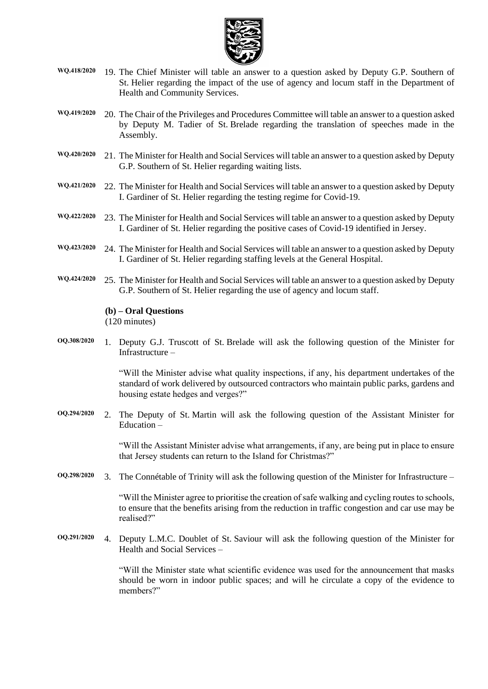

- **WQ.418/2020** 19. The Chief Minister will table an answer to a question asked by Deputy G.P. Southern of St. Helier regarding the impact of the use of agency and locum staff in the Department of Health and Community Services.
- **WQ.419/2020** 20. The Chair of the Privileges and Procedures Committee will table an answer to a question asked by Deputy M. Tadier of St. Brelade regarding the translation of speeches made in the Assembly.
- **WQ.420/2020** 21. The Minister for Health and Social Services will table an answer to a question asked by Deputy G.P. Southern of St. Helier regarding waiting lists.
- **WQ.421/2020** 22. The Minister for Health and Social Services will table an answer to a question asked by Deputy I. Gardiner of St. Helier regarding the testing regime for Covid-19.
- **WQ.422/2020** 23. The Minister for Health and Social Services will table an answer to a question asked by Deputy I. Gardiner of St. Helier regarding the positive cases of Covid-19 identified in Jersey.
- **WQ.423/2020** 24. The Minister for Health and Social Services will table an answer to a question asked by Deputy I. Gardiner of St. Helier regarding staffing levels at the General Hospital.
- **WQ.424/2020** 25. The Minister for Health and Social Services will table an answer to a question asked by Deputy G.P. Southern of St. Helier regarding the use of agency and locum staff.

#### **(b) – Oral Questions**

(120 minutes)

**OQ.308/2020** 1. Deputy G.J. Truscott of St. Brelade will ask the following question of the Minister for Infrastructure –

> "Will the Minister advise what quality inspections, if any, his department undertakes of the standard of work delivered by outsourced contractors who maintain public parks, gardens and housing estate hedges and verges?"

**OQ.294/2020** 2. The Deputy of St. Martin will ask the following question of the Assistant Minister for Education –

> "Will the Assistant Minister advise what arrangements, if any, are being put in place to ensure that Jersey students can return to the Island for Christmas?"

**OQ.298/2020** 3. The Connétable of Trinity will ask the following question of the Minister for Infrastructure –

"Will the Minister agree to prioritise the creation of safe walking and cycling routes to schools, to ensure that the benefits arising from the reduction in traffic congestion and car use may be realised?"

**OQ.291/2020** 4. Deputy L.M.C. Doublet of St. Saviour will ask the following question of the Minister for Health and Social Services –

> "Will the Minister state what scientific evidence was used for the announcement that masks should be worn in indoor public spaces; and will he circulate a copy of the evidence to members?"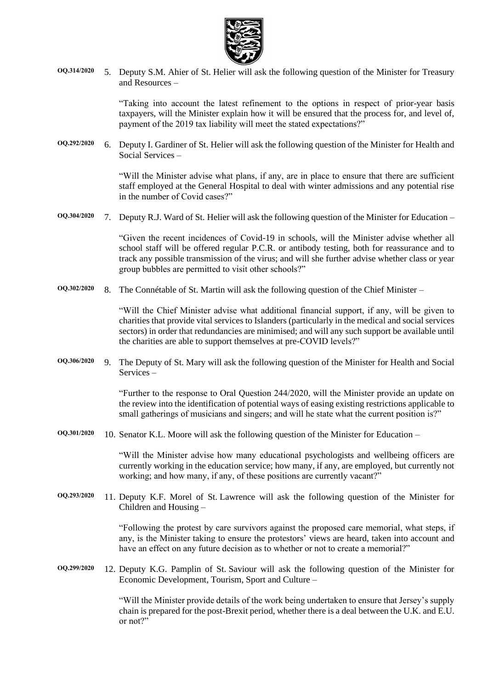

**OQ.314/2020** 5. Deputy S.M. Ahier of St. Helier will ask the following question of the Minister for Treasury and Resources –

> "Taking into account the latest refinement to the options in respect of prior-year basis taxpayers, will the Minister explain how it will be ensured that the process for, and level of, payment of the 2019 tax liability will meet the stated expectations?"

**OQ.292/2020** 6. Deputy I. Gardiner of St. Helier will ask the following question of the Minister for Health and Social Services –

> "Will the Minister advise what plans, if any, are in place to ensure that there are sufficient staff employed at the General Hospital to deal with winter admissions and any potential rise in the number of Covid cases?"

**OQ.304/2020** 7. Deputy R.J. Ward of St. Helier will ask the following question of the Minister for Education –

"Given the recent incidences of Covid-19 in schools, will the Minister advise whether all school staff will be offered regular P.C.R. or antibody testing, both for reassurance and to track any possible transmission of the virus; and will she further advise whether class or year group bubbles are permitted to visit other schools?"

**OQ.302/2020** 8. The Connétable of St. Martin will ask the following question of the Chief Minister –

"Will the Chief Minister advise what additional financial support, if any, will be given to charities that provide vital services to Islanders (particularly in the medical and social services sectors) in order that redundancies are minimised; and will any such support be available until the charities are able to support themselves at pre-COVID levels?"

**OQ.306/2020** 9. The Deputy of St. Mary will ask the following question of the Minister for Health and Social Services –

> "Further to the response to Oral Question 244/2020, will the Minister provide an update on the review into the identification of potential ways of easing existing restrictions applicable to small gatherings of musicians and singers; and will he state what the current position is?"

**OQ.301/2020** 10. Senator K.L. Moore will ask the following question of the Minister for Education –

"Will the Minister advise how many educational psychologists and wellbeing officers are currently working in the education service; how many, if any, are employed, but currently not working; and how many, if any, of these positions are currently vacant?"

**OQ.293/2020** 11. Deputy K.F. Morel of St. Lawrence will ask the following question of the Minister for Children and Housing –

> "Following the protest by care survivors against the proposed care memorial, what steps, if any, is the Minister taking to ensure the protestors' views are heard, taken into account and have an effect on any future decision as to whether or not to create a memorial?"

**OQ.299/2020** 12. Deputy K.G. Pamplin of St. Saviour will ask the following question of the Minister for Economic Development, Tourism, Sport and Culture –

> "Will the Minister provide details of the work being undertaken to ensure that Jersey's supply chain is prepared for the post-Brexit period, whether there is a deal between the U.K. and E.U. or not?"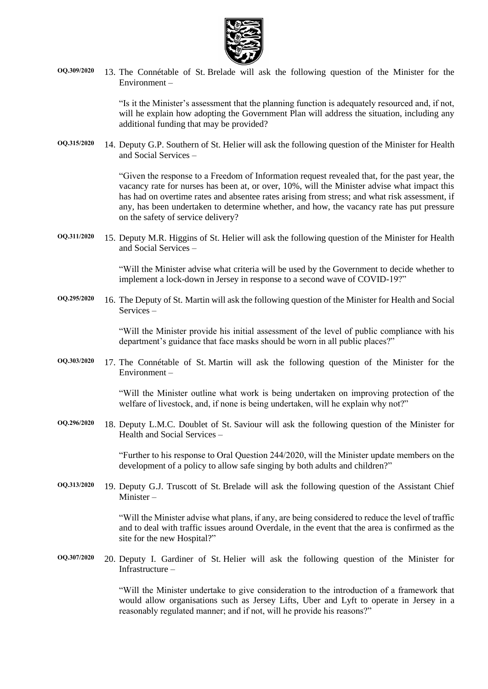

**OQ.309/2020** 13. The Connétable of St. Brelade will ask the following question of the Minister for the Environment –

> "Is it the Minister's assessment that the planning function is adequately resourced and, if not, will he explain how adopting the Government Plan will address the situation, including any additional funding that may be provided?

**OQ.315/2020** 14. Deputy G.P. Southern of St. Helier will ask the following question of the Minister for Health and Social Services –

> "Given the response to a Freedom of Information request revealed that, for the past year, the vacancy rate for nurses has been at, or over, 10%, will the Minister advise what impact this has had on overtime rates and absentee rates arising from stress; and what risk assessment, if any, has been undertaken to determine whether, and how, the vacancy rate has put pressure on the safety of service delivery?

**OQ.311/2020** 15. Deputy M.R. Higgins of St. Helier will ask the following question of the Minister for Health and Social Services –

> "Will the Minister advise what criteria will be used by the Government to decide whether to implement a lock-down in Jersey in response to a second wave of COVID-19?"

**OQ.295/2020** 16. The Deputy of St. Martin will ask the following question of the Minister for Health and Social Services –

> "Will the Minister provide his initial assessment of the level of public compliance with his department's guidance that face masks should be worn in all public places?"

**OQ.303/2020** 17. The Connétable of St. Martin will ask the following question of the Minister for the Environment –

> "Will the Minister outline what work is being undertaken on improving protection of the welfare of livestock, and, if none is being undertaken, will he explain why not?"

**OQ.296/2020** 18. Deputy L.M.C. Doublet of St. Saviour will ask the following question of the Minister for Health and Social Services –

> "Further to his response to Oral Question 244/2020, will the Minister update members on the development of a policy to allow safe singing by both adults and children?"

**OQ.313/2020** 19. Deputy G.J. Truscott of St. Brelade will ask the following question of the Assistant Chief Minister –

> "Will the Minister advise what plans, if any, are being considered to reduce the level of traffic and to deal with traffic issues around Overdale, in the event that the area is confirmed as the site for the new Hospital?"

**OQ.307/2020** 20. Deputy I. Gardiner of St. Helier will ask the following question of the Minister for Infrastructure –

> "Will the Minister undertake to give consideration to the introduction of a framework that would allow organisations such as Jersey Lifts, Uber and Lyft to operate in Jersey in a reasonably regulated manner; and if not, will he provide his reasons?"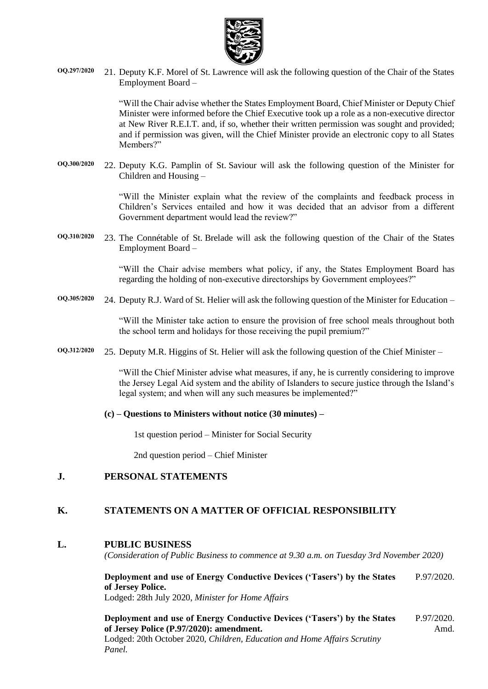

**OQ.297/2020** 21. Deputy K.F. Morel of St. Lawrence will ask the following question of the Chair of the States Employment Board –

> "Will the Chair advise whether the States Employment Board, Chief Minister or Deputy Chief Minister were informed before the Chief Executive took up a role as a non-executive director at New River R.E.I.T. and, if so, whether their written permission was sought and provided; and if permission was given, will the Chief Minister provide an electronic copy to all States Members?"

**OQ.300/2020** 22. Deputy K.G. Pamplin of St. Saviour will ask the following question of the Minister for Children and Housing –

> "Will the Minister explain what the review of the complaints and feedback process in Children's Services entailed and how it was decided that an advisor from a different Government department would lead the review?"

**OQ.310/2020** 23. The Connétable of St. Brelade will ask the following question of the Chair of the States Employment Board –

> "Will the Chair advise members what policy, if any, the States Employment Board has regarding the holding of non-executive directorships by Government employees?"

**OQ.305/2020** 24. Deputy R.J. Ward of St. Helier will ask the following question of the Minister for Education –

"Will the Minister take action to ensure the provision of free school meals throughout both the school term and holidays for those receiving the pupil premium?"

**OQ.312/2020** 25. Deputy M.R. Higgins of St. Helier will ask the following question of the Chief Minister –

"Will the Chief Minister advise what measures, if any, he is currently considering to improve the Jersey Legal Aid system and the ability of Islanders to secure justice through the Island's legal system; and when will any such measures be implemented?"

#### **(c) – Questions to Ministers without notice (30 minutes) –**

1st question period – Minister for Social Security

2nd question period – Chief Minister

#### **J. PERSONAL STATEMENTS**

#### **K. STATEMENTS ON A MATTER OF OFFICIAL RESPONSIBILITY**

#### **L. PUBLIC BUSINESS**

*(Consideration of Public Business to commence at 9.30 a.m. on Tuesday 3rd November 2020)*

**[Deployment and use of Energy Conductive Devices \('Tasers'\) by the States](https://statesassembly.gov.je/AssemblyPropositions/2020/P.97-2020.pdf)  [of Jersey Police.](https://statesassembly.gov.je/AssemblyPropositions/2020/P.97-2020.pdf)** Lodged: 28th July 2020, *[Minister for Home Affairs](https://statesassembly.gov.je/AssemblyPropositions/2020/P.97-2020.pdf)* [P.97/2020.](https://statesassembly.gov.je/AssemblyPropositions/2020/P.97-2020.pdf)

**Deployment and use of Energy Conductive Devices ('Tasers') by the States of Jersey Police (P.97/2020): amendment.** Lodged: 20th October 2020, *Children, Education and Home Affairs Scrutiny Panel.* P.97/2020. Amd.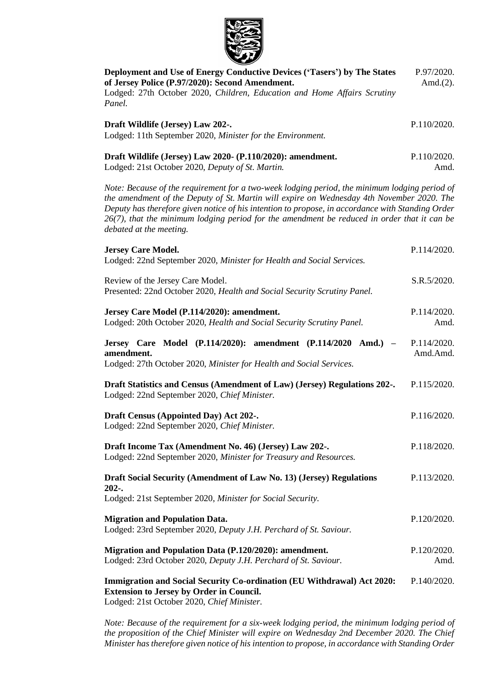

| Deployment and Use of Energy Conductive Devices ('Tasers') by The States<br>of Jersey Police (P.97/2020): Second Amendment.<br>Lodged: 27th October 2020, Children, Education and Home Affairs Scrutiny<br>Panel.                                                                                                                                                                                                           | P.97/2020.<br>Amd. $(2)$ . |
|-----------------------------------------------------------------------------------------------------------------------------------------------------------------------------------------------------------------------------------------------------------------------------------------------------------------------------------------------------------------------------------------------------------------------------|----------------------------|
| Draft Wildlife (Jersey) Law 202-.<br>Lodged: 11th September 2020, Minister for the Environment.                                                                                                                                                                                                                                                                                                                             | P.110/2020.                |
| Draft Wildlife (Jersey) Law 2020- (P.110/2020): amendment.<br>Lodged: 21st October 2020, Deputy of St. Martin.                                                                                                                                                                                                                                                                                                              | P.110/2020.<br>Amd.        |
| Note: Because of the requirement for a two-week lodging period, the minimum lodging period of<br>the amendment of the Deputy of St. Martin will expire on Wednesday 4th November 2020. The<br>Deputy has therefore given notice of his intention to propose, in accordance with Standing Order<br>$26(7)$ , that the minimum lodging period for the amendment be reduced in order that it can be<br>debated at the meeting. |                            |
| <b>Jersey Care Model.</b><br>Lodged: 22nd September 2020, Minister for Health and Social Services.                                                                                                                                                                                                                                                                                                                          | P.114/2020.                |
| Review of the Jersey Care Model.<br>Presented: 22nd October 2020, Health and Social Security Scrutiny Panel.                                                                                                                                                                                                                                                                                                                | S.R.5/2020.                |
| Jersey Care Model (P.114/2020): amendment.<br>Lodged: 20th October 2020, Health and Social Security Scrutiny Panel.                                                                                                                                                                                                                                                                                                         | P.114/2020.<br>Amd.        |
| Jersey Care Model (P.114/2020): amendment (P.114/2020 Amd.) -<br>amendment.<br>Lodged: 27th October 2020, Minister for Health and Social Services.                                                                                                                                                                                                                                                                          | P.114/2020.<br>Amd.Amd.    |
| Draft Statistics and Census (Amendment of Law) (Jersey) Regulations 202-.<br>Lodged: 22nd September 2020, Chief Minister.                                                                                                                                                                                                                                                                                                   | P.115/2020.                |
| Draft Census (Appointed Day) Act 202-.<br>Lodged: 22nd September 2020, Chief Minister.                                                                                                                                                                                                                                                                                                                                      | P.116/2020.                |
| Draft Income Tax (Amendment No. 46) (Jersey) Law 202-.<br>Lodged: 22nd September 2020, Minister for Treasury and Resources.                                                                                                                                                                                                                                                                                                 | P.118/2020.                |
| Draft Social Security (Amendment of Law No. 13) (Jersey) Regulations<br>$202-.$<br>Lodged: 21st September 2020, Minister for Social Security.                                                                                                                                                                                                                                                                               | P.113/2020.                |
| <b>Migration and Population Data.</b><br>Lodged: 23rd September 2020, Deputy J.H. Perchard of St. Saviour.                                                                                                                                                                                                                                                                                                                  | P.120/2020.                |
| Migration and Population Data (P.120/2020): amendment.<br>Lodged: 23rd October 2020, Deputy J.H. Perchard of St. Saviour.                                                                                                                                                                                                                                                                                                   | P.120/2020.<br>Amd.        |
| Immigration and Social Security Co-ordination (EU Withdrawal) Act 2020:<br><b>Extension to Jersey by Order in Council.</b><br>Lodged: 21st October 2020, Chief Minister                                                                                                                                                                                                                                                     | P.140/2020.                |

Lodged: 21st October 2020, *Chief Minister.*

*Note: Because of the requirement for a six-week lodging period, the minimum lodging period of the proposition of the Chief Minister will expire on Wednesday 2nd December 2020. The Chief Minister has therefore given notice of his intention to propose, in accordance with Standing Order*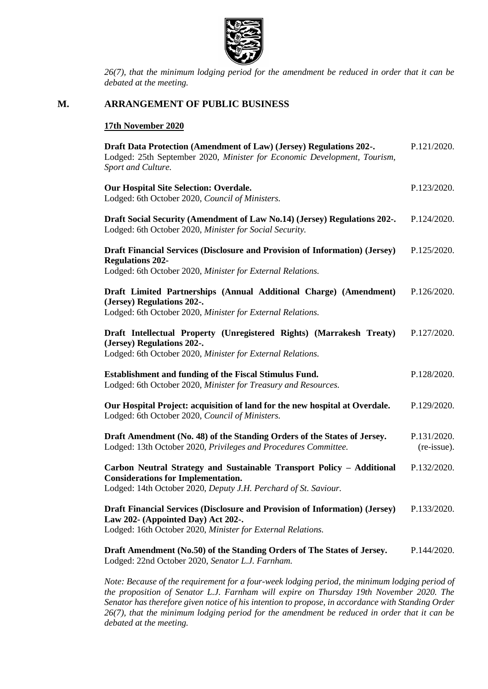

*26(7), that the minimum lodging period for the amendment be reduced in order that it can be debated at the meeting.*

#### **M. ARRANGEMENT OF PUBLIC BUSINESS**

#### **17th November 2020**

| Draft Data Protection (Amendment of Law) (Jersey) Regulations 202-.<br>Lodged: 25th September 2020, Minister for Economic Development, Tourism,<br>Sport and Culture.                 | P.121/2020.                |
|---------------------------------------------------------------------------------------------------------------------------------------------------------------------------------------|----------------------------|
| Our Hospital Site Selection: Overdale.<br>Lodged: 6th October 2020, Council of Ministers.                                                                                             | P.123/2020.                |
| Draft Social Security (Amendment of Law No.14) (Jersey) Regulations 202-.<br>Lodged: 6th October 2020, Minister for Social Security.                                                  | P.124/2020.                |
| Draft Financial Services (Disclosure and Provision of Information) (Jersey)<br><b>Regulations 202-</b><br>Lodged: 6th October 2020, Minister for External Relations.                  | P.125/2020.                |
| Draft Limited Partnerships (Annual Additional Charge) (Amendment)<br>(Jersey) Regulations 202-.<br>Lodged: 6th October 2020, Minister for External Relations.                         | P.126/2020.                |
| Draft Intellectual Property (Unregistered Rights) (Marrakesh Treaty)<br>(Jersey) Regulations 202-.<br>Lodged: 6th October 2020, Minister for External Relations.                      | P.127/2020.                |
| Establishment and funding of the Fiscal Stimulus Fund.<br>Lodged: 6th October 2020, Minister for Treasury and Resources.                                                              | P.128/2020.                |
| Our Hospital Project: acquisition of land for the new hospital at Overdale.<br>Lodged: 6th October 2020, Council of Ministers.                                                        | P.129/2020.                |
| Draft Amendment (No. 48) of the Standing Orders of the States of Jersey.<br>Lodged: 13th October 2020, Privileges and Procedures Committee.                                           | P.131/2020.<br>(re-issue). |
| Carbon Neutral Strategy and Sustainable Transport Policy - Additional<br><b>Considerations for Implementation.</b><br>Lodged: 14th October 2020, Deputy J.H. Perchard of St. Saviour. | P.132/2020.                |
| Draft Financial Services (Disclosure and Provision of Information) (Jersey)<br>Law 202- (Appointed Day) Act 202-.<br>Lodged: 16th October 2020, Minister for External Relations.      | P.133/2020.                |
| Draft Amendment (No.50) of the Standing Orders of The States of Jersey.<br>Lodged: 22nd October 2020, Senator L.J. Farnham.                                                           | P.144/2020.                |

*Note: Because of the requirement for a four-week lodging period, the minimum lodging period of the proposition of Senator L.J. Farnham will expire on Thursday 19th November 2020. The Senator has therefore given notice of his intention to propose, in accordance with Standing Order 26(7), that the minimum lodging period for the amendment be reduced in order that it can be debated at the meeting.*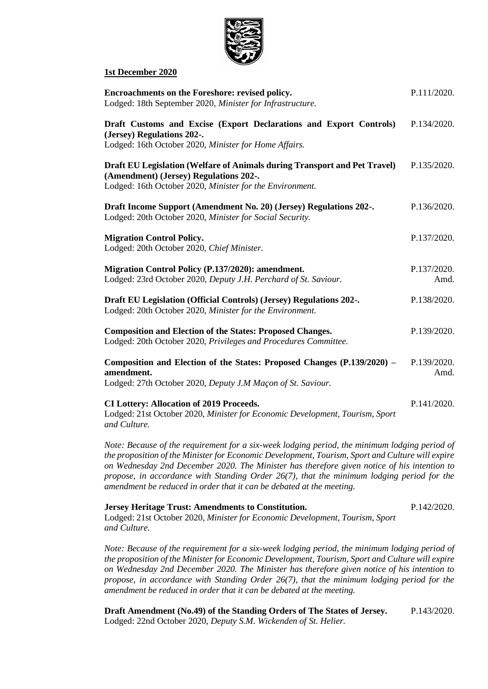

#### **1st December 2020**

| Encroachments on the Foreshore: revised policy.<br>Lodged: 18th September 2020, Minister for Infrastructure.                                                                    | P.111/2020.         |
|---------------------------------------------------------------------------------------------------------------------------------------------------------------------------------|---------------------|
| Draft Customs and Excise (Export Declarations and Export Controls)<br>(Jersey) Regulations 202-.<br>Lodged: 16th October 2020, Minister for Home Affairs.                       | P.134/2020.         |
| Draft EU Legislation (Welfare of Animals during Transport and Pet Travel)<br>(Amendment) (Jersey) Regulations 202-.<br>Lodged: 16th October 2020, Minister for the Environment. | P.135/2020.         |
| Draft Income Support (Amendment No. 20) (Jersey) Regulations 202-.<br>Lodged: 20th October 2020, Minister for Social Security.                                                  | P.136/2020.         |
| <b>Migration Control Policy.</b><br>Lodged: 20th October 2020, Chief Minister.                                                                                                  | P.137/2020.         |
| Migration Control Policy (P.137/2020): amendment.<br>Lodged: 23rd October 2020, Deputy J.H. Perchard of St. Saviour.                                                            | P.137/2020.<br>Amd. |
| Draft EU Legislation (Official Controls) (Jersey) Regulations 202-.<br>Lodged: 20th October 2020, Minister for the Environment.                                                 | P.138/2020.         |
| <b>Composition and Election of the States: Proposed Changes.</b><br>Lodged: 20th October 2020, Privileges and Procedures Committee.                                             | P.139/2020.         |
| Composition and Election of the States: Proposed Changes (P.139/2020) -<br>amendment.<br>Lodged: 27th October 2020, Deputy J.M Maçon of St. Saviour.                            | P.139/2020.<br>Amd. |
| <b>CI Lottery: Allocation of 2019 Proceeds.</b><br>Lodged: 21st October 2020, Minister for Economic Development, Tourism, Sport<br>and Culture.                                 | P.141/2020.         |

*Note: Because of the requirement for a six-week lodging period, the minimum lodging period of the proposition of the Minister for Economic Development, Tourism, Sport and Culture will expire on Wednesday 2nd December 2020. The Minister has therefore given notice of his intention to propose, in accordance with Standing Order 26(7), that the minimum lodging period for the amendment be reduced in order that it can be debated at the meeting.*

#### **Jersey Heritage Trust: Amendments to Constitution.** Lodged: 21st October 2020, *Minister for Economic Development, Tourism, Sport and Culture.* P.142/2020.

*Note: Because of the requirement for a six-week lodging period, the minimum lodging period of the proposition of the Minister for Economic Development, Tourism, Sport and Culture will expire on Wednesday 2nd December 2020. The Minister has therefore given notice of his intention to propose, in accordance with Standing Order 26(7), that the minimum lodging period for the amendment be reduced in order that it can be debated at the meeting.*

**Draft Amendment (No.49) of the Standing Orders of The States of Jersey.** Lodged: 22nd October 2020, *Deputy S.M. Wickenden of St. Helier.* P.143/2020.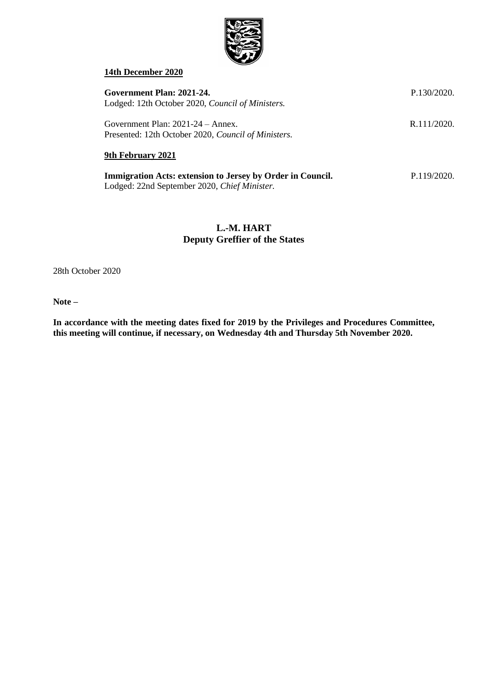

#### **14th December 2020**

| Government Plan: 2021-24.<br>Lodged: 12th October 2020, <i>Council of Ministers</i> .                      | P.130/2020. |
|------------------------------------------------------------------------------------------------------------|-------------|
| Government Plan: $2021-24 -$ Annex.<br>Presented: 12th October 2020, Council of Ministers.                 | R.111/2020. |
| 9th February 2021                                                                                          |             |
| Immigration Acts: extension to Jersey by Order in Council.<br>Lodged: 22nd September 2020, Chief Minister. | P.119/2020. |

### **L.-M. HART Deputy Greffier of the States**

28th October 2020

**Note –**

**In accordance with the meeting dates fixed for 2019 by the Privileges and Procedures Committee, this meeting will continue, if necessary, on Wednesday 4th and Thursday 5th November 2020.**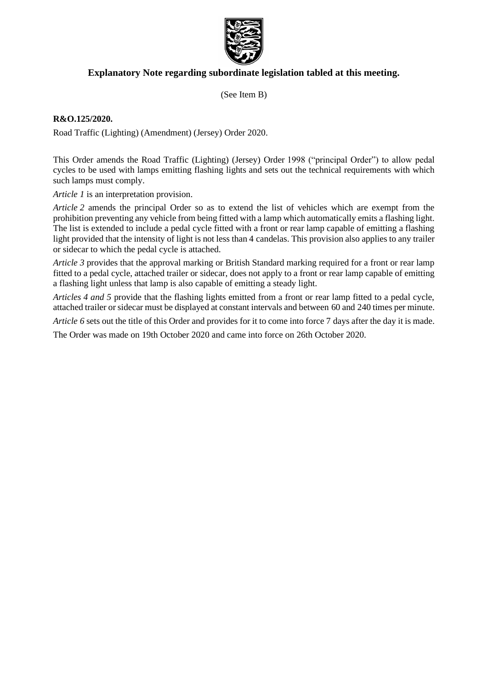

### **Explanatory Note regarding subordinate legislation tabled at this meeting.**

(See Item B)

#### **R&O.125/2020.**

Road Traffic (Lighting) (Amendment) (Jersey) Order 2020.

This Order amends the Road Traffic (Lighting) (Jersey) Order 1998 ("principal Order") to allow pedal cycles to be used with lamps emitting flashing lights and sets out the technical requirements with which such lamps must comply.

*Article 1* is an interpretation provision.

*Article 2* amends the principal Order so as to extend the list of vehicles which are exempt from the prohibition preventing any vehicle from being fitted with a lamp which automatically emits a flashing light. The list is extended to include a pedal cycle fitted with a front or rear lamp capable of emitting a flashing light provided that the intensity of light is not less than 4 candelas. This provision also applies to any trailer or sidecar to which the pedal cycle is attached.

*Article 3* provides that the approval marking or British Standard marking required for a front or rear lamp fitted to a pedal cycle, attached trailer or sidecar, does not apply to a front or rear lamp capable of emitting a flashing light unless that lamp is also capable of emitting a steady light.

*Articles 4 and 5* provide that the flashing lights emitted from a front or rear lamp fitted to a pedal cycle, attached trailer or sidecar must be displayed at constant intervals and between 60 and 240 times per minute.

*Article 6* sets out the title of this Order and provides for it to come into force 7 days after the day it is made.

The Order was made on 19th October 2020 and came into force on 26th October 2020.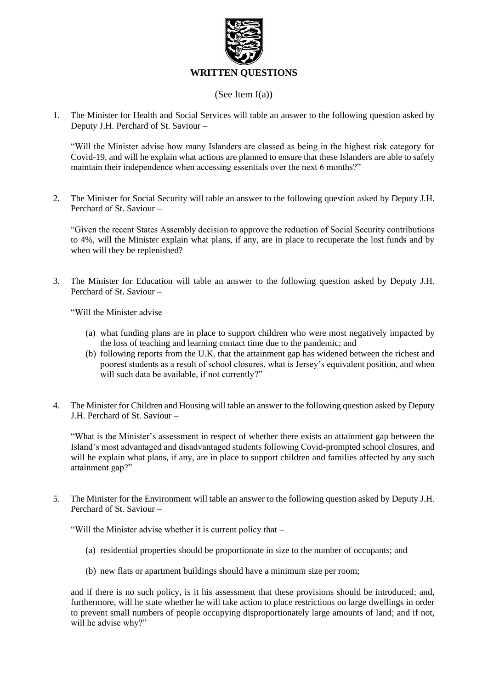

#### (See Item I(a))

1. The Minister for Health and Social Services will table an answer to the following question asked by Deputy J.H. Perchard of St. Saviour –

"Will the Minister advise how many Islanders are classed as being in the highest risk category for Covid-19, and will he explain what actions are planned to ensure that these Islanders are able to safely maintain their independence when accessing essentials over the next 6 months?"

2. The Minister for Social Security will table an answer to the following question asked by Deputy J.H. Perchard of St. Saviour –

"Given the recent States Assembly decision to approve the reduction of Social Security contributions to 4%, will the Minister explain what plans, if any, are in place to recuperate the lost funds and by when will they be replenished?

3. The Minister for Education will table an answer to the following question asked by Deputy J.H. Perchard of St. Saviour –

"Will the Minister advise –

- (a) what funding plans are in place to support children who were most negatively impacted by the loss of teaching and learning contact time due to the pandemic; and
- (b) following reports from the U.K. that the attainment gap has widened between the richest and poorest students as a result of school closures, what is Jersey's equivalent position, and when will such data be available, if not currently?"
- 4. The Minister for Children and Housing will table an answer to the following question asked by Deputy J.H. Perchard of St. Saviour –

"What is the Minister's assessment in respect of whether there exists an attainment gap between the Island's most advantaged and disadvantaged students following Covid-prompted school closures, and will he explain what plans, if any, are in place to support children and families affected by any such attainment gap?"

5. The Minister for the Environment will table an answer to the following question asked by Deputy J.H. Perchard of St. Saviour –

"Will the Minister advise whether it is current policy that –

- (a) residential properties should be proportionate in size to the number of occupants; and
- (b) new flats or apartment buildings should have a minimum size per room;

and if there is no such policy, is it his assessment that these provisions should be introduced; and, furthermore, will he state whether he will take action to place restrictions on large dwellings in order to prevent small numbers of people occupying disproportionately large amounts of land; and if not, will he advise why?"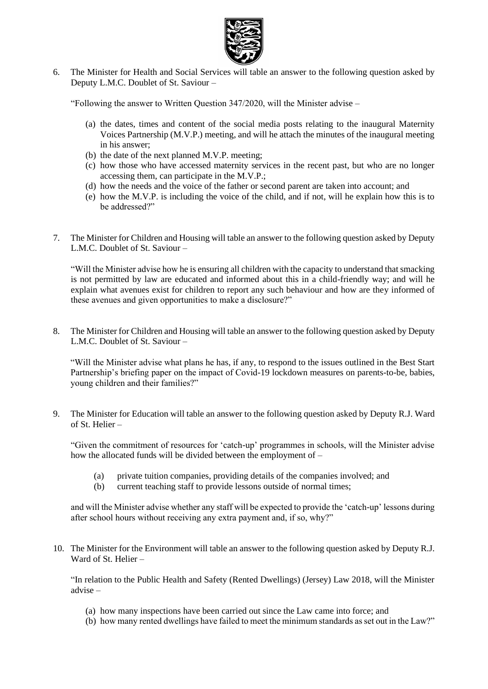

6. The Minister for Health and Social Services will table an answer to the following question asked by Deputy L.M.C. Doublet of St. Saviour –

"Following the answer to Written Question 347/2020, will the Minister advise –

- (a) the dates, times and content of the social media posts relating to the inaugural Maternity Voices Partnership (M.V.P.) meeting, and will he attach the minutes of the inaugural meeting in his answer;
- (b) the date of the next planned M.V.P. meeting;
- (c) how those who have accessed maternity services in the recent past, but who are no longer accessing them, can participate in the M.V.P.;
- (d) how the needs and the voice of the father or second parent are taken into account; and
- (e) how the M.V.P. is including the voice of the child, and if not, will he explain how this is to be addressed?"
- 7. The Minister for Children and Housing will table an answer to the following question asked by Deputy L.M.C. Doublet of St. Saviour –

"Will the Minister advise how he is ensuring all children with the capacity to understand that smacking is not permitted by law are educated and informed about this in a child-friendly way; and will he explain what avenues exist for children to report any such behaviour and how are they informed of these avenues and given opportunities to make a disclosure?"

8. The Minister for Children and Housing will table an answer to the following question asked by Deputy L.M.C. Doublet of St. Saviour –

"Will the Minister advise what plans he has, if any, to respond to the issues outlined in the Best Start Partnership's briefing paper on the impact of Covid-19 lockdown measures on parents-to-be, babies, young children and their families?"

9. The Minister for Education will table an answer to the following question asked by Deputy R.J. Ward of St. Helier –

"Given the commitment of resources for 'catch-up' programmes in schools, will the Minister advise how the allocated funds will be divided between the employment of –

- (a) private tuition companies, providing details of the companies involved; and
- (b) current teaching staff to provide lessons outside of normal times;

and will the Minister advise whether any staff will be expected to provide the 'catch-up' lessons during after school hours without receiving any extra payment and, if so, why?"

10. The Minister for the Environment will table an answer to the following question asked by Deputy R.J. Ward of St. Helier –

"In relation to the Public Health and Safety (Rented Dwellings) (Jersey) Law 2018, will the Minister advise –

- (a) how many inspections have been carried out since the Law came into force; and
- (b) how many rented dwellings have failed to meet the minimum standards as set out in the Law?"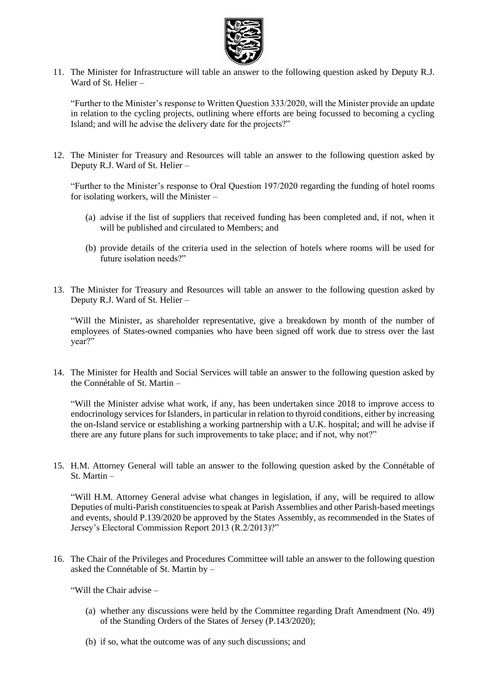

11. The Minister for Infrastructure will table an answer to the following question asked by Deputy R.J. Ward of St. Helier –

"Further to the Minister's response to Written Question 333/2020, will the Minister provide an update in relation to the cycling projects, outlining where efforts are being focussed to becoming a cycling Island; and will he advise the delivery date for the projects?"

12. The Minister for Treasury and Resources will table an answer to the following question asked by Deputy R.J. Ward of St. Helier –

"Further to the Minister's response to Oral Question 197/2020 regarding the funding of hotel rooms for isolating workers, will the Minister –

- (a) advise if the list of suppliers that received funding has been completed and, if not, when it will be published and circulated to Members; and
- (b) provide details of the criteria used in the selection of hotels where rooms will be used for future isolation needs?"
- 13. The Minister for Treasury and Resources will table an answer to the following question asked by Deputy R.J. Ward of St. Helier –

"Will the Minister, as shareholder representative, give a breakdown by month of the number of employees of States-owned companies who have been signed off work due to stress over the last year?"

14. The Minister for Health and Social Services will table an answer to the following question asked by the Connétable of St. Martin –

"Will the Minister advise what work, if any, has been undertaken since 2018 to improve access to endocrinology services for Islanders, in particular in relation to thyroid conditions, either by increasing the on-Island service or establishing a working partnership with a U.K. hospital; and will he advise if there are any future plans for such improvements to take place; and if not, why not?"

15. H.M. Attorney General will table an answer to the following question asked by the Connétable of St. Martin –

"Will H.M. Attorney General advise what changes in legislation, if any, will be required to allow Deputies of multi-Parish constituencies to speak at Parish Assemblies and other Parish-based meetings and events, should P.139/2020 be approved by the States Assembly, as recommended in the States of Jersey's Electoral Commission Report 2013 (R.2/2013)?"

16. The Chair of the Privileges and Procedures Committee will table an answer to the following question asked the Connétable of St. Martin by –

"Will the Chair advise –

- (a) whether any discussions were held by the Committee regarding Draft Amendment (No. 49) of the Standing Orders of the States of Jersey (P.143/2020);
- (b) if so, what the outcome was of any such discussions; and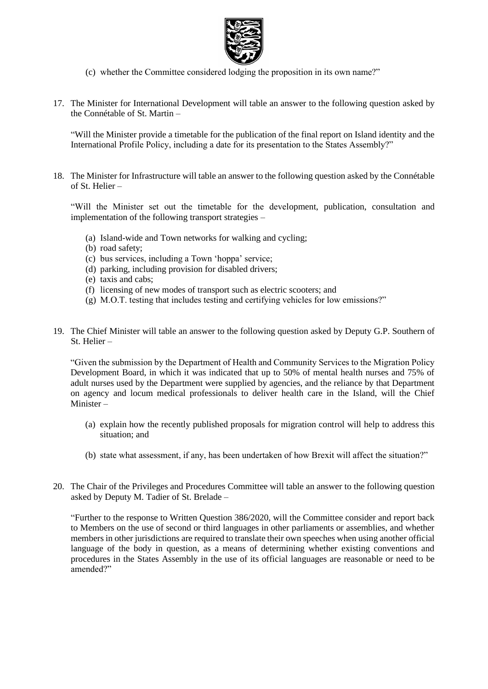

- (c) whether the Committee considered lodging the proposition in its own name?"
- 17. The Minister for International Development will table an answer to the following question asked by the Connétable of St. Martin –

"Will the Minister provide a timetable for the publication of the final report on Island identity and the International Profile Policy, including a date for its presentation to the States Assembly?"

18. The Minister for Infrastructure will table an answer to the following question asked by the Connétable of St. Helier –

"Will the Minister set out the timetable for the development, publication, consultation and implementation of the following transport strategies –

- (a) Island-wide and Town networks for walking and cycling;
- (b) road safety;
- (c) bus services, including a Town 'hoppa' service;
- (d) parking, including provision for disabled drivers;
- (e) taxis and cabs;
- (f) licensing of new modes of transport such as electric scooters; and
- (g) M.O.T. testing that includes testing and certifying vehicles for low emissions?"
- 19. The Chief Minister will table an answer to the following question asked by Deputy G.P. Southern of St. Helier –

"Given the submission by the Department of Health and Community Services to the Migration Policy Development Board, in which it was indicated that up to 50% of mental health nurses and 75% of adult nurses used by the Department were supplied by agencies, and the reliance by that Department on agency and locum medical professionals to deliver health care in the Island, will the Chief Minister –

- (a) explain how the recently published proposals for migration control will help to address this situation; and
- (b) state what assessment, if any, has been undertaken of how Brexit will affect the situation?"
- 20. The Chair of the Privileges and Procedures Committee will table an answer to the following question asked by Deputy M. Tadier of St. Brelade –

"Further to the response to Written Question 386/2020, will the Committee consider and report back to Members on the use of second or third languages in other parliaments or assemblies, and whether members in other jurisdictions are required to translate their own speeches when using another official language of the body in question, as a means of determining whether existing conventions and procedures in the States Assembly in the use of its official languages are reasonable or need to be amended?"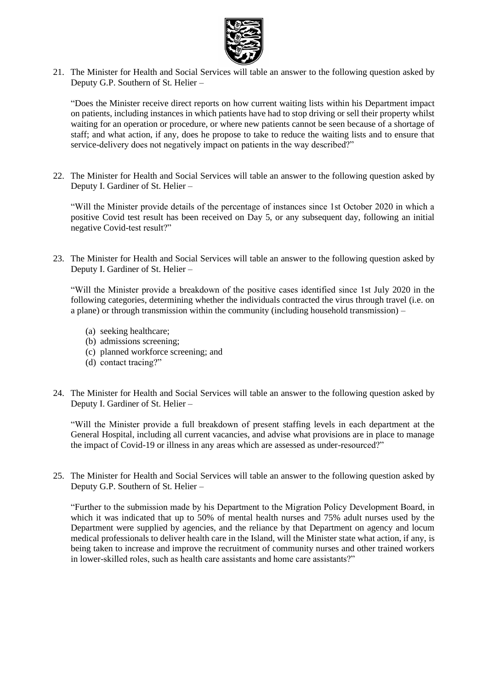

21. The Minister for Health and Social Services will table an answer to the following question asked by Deputy G.P. Southern of St. Helier –

"Does the Minister receive direct reports on how current waiting lists within his Department impact on patients, including instances in which patients have had to stop driving or sell their property whilst waiting for an operation or procedure, or where new patients cannot be seen because of a shortage of staff; and what action, if any, does he propose to take to reduce the waiting lists and to ensure that service-delivery does not negatively impact on patients in the way described?"

22. The Minister for Health and Social Services will table an answer to the following question asked by Deputy I. Gardiner of St. Helier –

"Will the Minister provide details of the percentage of instances since 1st October 2020 in which a positive Covid test result has been received on Day 5, or any subsequent day, following an initial negative Covid-test result?"

23. The Minister for Health and Social Services will table an answer to the following question asked by Deputy I. Gardiner of St. Helier –

"Will the Minister provide a breakdown of the positive cases identified since 1st July 2020 in the following categories, determining whether the individuals contracted the virus through travel (i.e. on a plane) or through transmission within the community (including household transmission) –

- (a) seeking healthcare;
- (b) admissions screening;
- (c) planned workforce screening; and
- (d) contact tracing?"
- 24. The Minister for Health and Social Services will table an answer to the following question asked by Deputy I. Gardiner of St. Helier –

"Will the Minister provide a full breakdown of present staffing levels in each department at the General Hospital, including all current vacancies, and advise what provisions are in place to manage the impact of Covid-19 or illness in any areas which are assessed as under-resourced?"

25. The Minister for Health and Social Services will table an answer to the following question asked by Deputy G.P. Southern of St. Helier –

"Further to the submission made by his Department to the Migration Policy Development Board, in which it was indicated that up to 50% of mental health nurses and 75% adult nurses used by the Department were supplied by agencies, and the reliance by that Department on agency and locum medical professionals to deliver health care in the Island, will the Minister state what action, if any, is being taken to increase and improve the recruitment of community nurses and other trained workers in lower-skilled roles, such as health care assistants and home care assistants?"